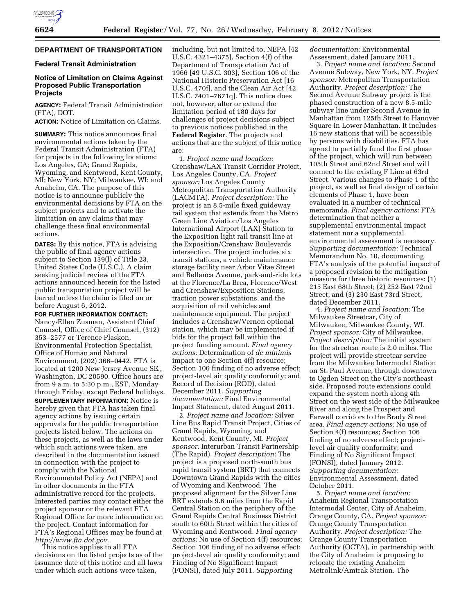# **DEPARTMENT OF TRANSPORTATION**

### **Federal Transit Administration**

### **Notice of Limitation on Claims Against Proposed Public Transportation Projects**

**AGENCY:** Federal Transit Administration (FTA), DOT.

**ACTION:** Notice of Limitation on Claims.

**SUMMARY:** This notice announces final environmental actions taken by the Federal Transit Administration (FTA) for projects in the following locations: Los Angeles, CA; Grand Rapids, Wyoming, and Kentwood, Kent County, MI; New York, NY; Milwaukee, WI; and Anaheim, CA. The purpose of this notice is to announce publicly the environmental decisions by FTA on the subject projects and to activate the limitation on any claims that may challenge these final environmental actions.

**DATES:** By this notice, FTA is advising the public of final agency actions subject to Section 139(l) of Title 23, United States Code (U.S.C.). A claim seeking judicial review of the FTA actions announced herein for the listed public transportation project will be barred unless the claim is filed on or before August 6, 2012.

**FOR FURTHER INFORMATION CONTACT:**  Nancy-Ellen Zusman, Assistant Chief Counsel, Office of Chief Counsel, (312) 353–2577 or Terence Plaskon, Environmental Protection Specialist, Office of Human and Natural Environment, (202) 366–0442. FTA is located at 1200 New Jersey Avenue SE., Washington, DC 20590. Office hours are from 9 a.m. to 5:30 p.m., EST, Monday through Friday, except Federal holidays.

**SUPPLEMENTARY INFORMATION:** Notice is hereby given that FTA has taken final agency actions by issuing certain approvals for the public transportation projects listed below. The actions on these projects, as well as the laws under which such actions were taken, are described in the documentation issued in connection with the project to comply with the National Environmental Policy Act (NEPA) and in other documents in the FTA administrative record for the projects. Interested parties may contact either the project sponsor or the relevant FTA Regional Office for more information on the project. Contact information for FTA's Regional Offices may be found at *<http://www.fta.dot.gov>*.

This notice applies to all FTA decisions on the listed projects as of the issuance date of this notice and all laws under which such actions were taken,

including, but not limited to, NEPA [42 U.S.C. 4321–4375], Section 4(f) of the Department of Transportation Act of 1966 [49 U.S.C. 303], Section 106 of the National Historic Preservation Act [16 U.S.C. 470f], and the Clean Air Act [42 U.S.C. 7401–7671q]. This notice does not, however, alter or extend the limitation period of 180 days for challenges of project decisions subject to previous notices published in the **Federal Register**. The projects and actions that are the subject of this notice are:

1. *Project name and location:*  Crenshaw/LAX Transit Corridor Project, Los Angeles County, CA. *Project sponsor:* Los Angeles County Metropolitan Transportation Authority (LACMTA). *Project description:* The project is an 8.5-mile fixed guideway rail system that extends from the Metro Green Line Aviation/Los Angeles International Airport (LAX) Station to the Exposition light rail transit line at the Exposition/Crenshaw Boulevards intersection. The project includes six transit stations, a vehicle maintenance storage facility near Arbor Vitae Street and Bellanca Avenue, park-and-ride lots at the Florence/La Brea, Florence/West and Crenshaw/Exposition Stations, traction power substations, and the acquisition of rail vehicles and maintenance equipment. The project includes a Crenshaw/Vernon optional station, which may be implemented if bids for the project fall within the project funding amount. *Final agency actions:* Determination of *de minimis*  impact to one Section 4(f) resource; Section 106 finding of no adverse effect; project-level air quality conformity; and Record of Decision (ROD), dated December 2011. *Supporting documentation:* Final Environmental Impact Statement, dated August 2011.

2. *Project name and location:* Silver Line Bus Rapid Transit Project, Cities of Grand Rapids, Wyoming, and Kentwood, Kent County, MI. *Project sponsor:* Interurban Transit Partnership (The Rapid). *Project description:* The project is a proposed north-south bus rapid transit system (BRT) that connects Downtown Grand Rapids with the cities of Wyoming and Kentwood. The proposed alignment for the Silver Line BRT extends 9.6 miles from the Rapid Central Station on the periphery of the Grand Rapids Central Business District south to 60th Street within the cities of Wyoming and Kentwood. *Final agency actions:* No use of Section 4(f) resources; Section 106 finding of no adverse effect; project-level air quality conformity; and Finding of No Significant Impact (FONSI), dated July 2011. *Supporting* 

*documentation:* Environmental Assessment, dated January 2011.

3. *Project name and location:* Second Avenue Subway, New York, NY. *Project sponsor:* Metropolitan Transportation Authority. *Project description:* The Second Avenue Subway project is the phased construction of a new 8.5-mile subway line under Second Avenue in Manhattan from 125th Street to Hanover Square in Lower Manhattan. It includes 16 new stations that will be accessible by persons with disabilities. FTA has agreed to partially fund the first phase of the project, which will run between 105th Street and 62nd Street and will connect to the existing F Line at 63rd Street. Various changes to Phase 1 of the project, as well as final design of certain elements of Phase 1, have been evaluated in a number of technical memoranda. *Final agency actions:* FTA determination that neither a supplemental environmental impact statement nor a supplemental environmental assessment is necessary. *Supporting documentation:* Technical Memorandum No. 10, documenting FTA's analysis of the potential impact of a proposed revision to the mitigation measure for three historic resources: (1) 215 East 68th Street; (2) 252 East 72nd Street; and (3) 230 East 73rd Street, dated December 2011.

4. *Project name and location:* The Milwaukee Streetcar, City of Milwaukee, Milwaukee County, WI. *Project sponsor:* City of Milwaukee. *Project description:* The initial system for the streetcar route is 2.0 miles. The project will provide streetcar service from the Milwaukee Intermodal Station on St. Paul Avenue, through downtown to Ogden Street on the City's northeast side. Proposed route extensions could expand the system north along 4th Street on the west side of the Milwaukee River and along the Prospect and Farwell corridors to the Brady Street area. *Final agency actions:* No use of Section 4(f) resources; Section 106 finding of no adverse effect; projectlevel air quality conformity; and Finding of No Significant Impact (FONSI), dated January 2012. *Supporting documentation:*  Environmental Assessment, dated October 2011.

5. *Project name and location:*  Anaheim Regional Transportation Intermodal Center, City of Anaheim, Orange County, CA. *Project sponsor:*  Orange County Transportation Authority. *Project description:* The Orange County Transportation Authority (OCTA), in partnership with the City of Anaheim is proposing to relocate the existing Anaheim Metrolink/Amtrak Station. The